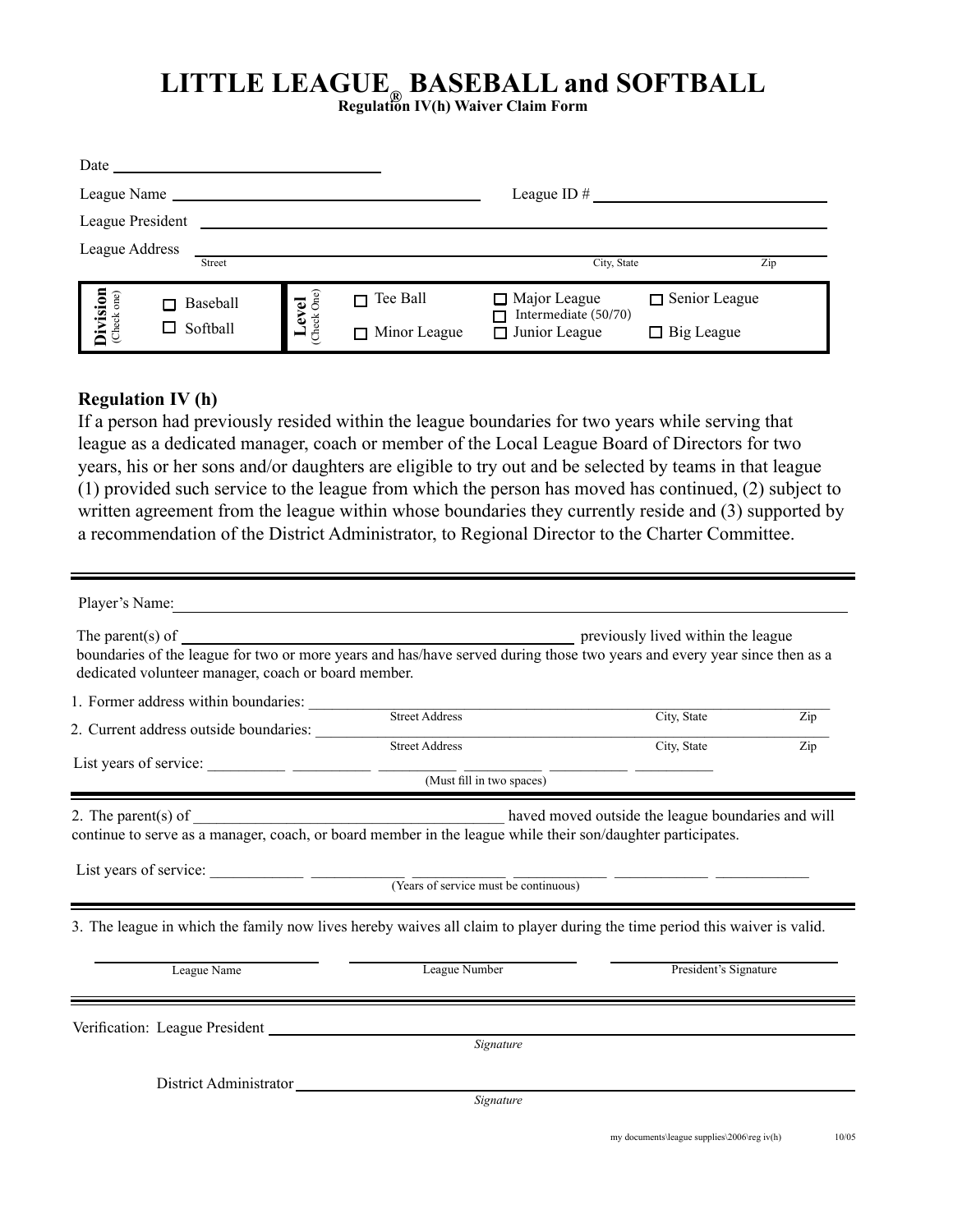## **LITTLE LEAGUE® BASEBALL and SOFTBALL Regulation IV(h) Waiver Claim Form**

| Date               |                                  |                     |                                                                     |                      |  |
|--------------------|----------------------------------|---------------------|---------------------------------------------------------------------|----------------------|--|
| League Name __     |                                  |                     | League ID $#$                                                       |                      |  |
| League President   |                                  |                     |                                                                     |                      |  |
| League Address     |                                  |                     |                                                                     |                      |  |
|                    | Street                           |                     | City, State                                                         | Zip                  |  |
| Division           | Level<br>(Check One)<br>Baseball | Tee Ball<br>□       | $\Box$ Major League<br>Intermediate (50/70)<br>$\Box$ Junior League | $\Box$ Senior League |  |
| Softball<br>$\Box$ |                                  | $\Box$ Minor League |                                                                     | $\Box$ Big League    |  |

## **Regulation IV (h)**

If a person had previously resided within the league boundaries for two years while serving that league as a dedicated manager, coach or member of the Local League Board of Directors for two years, his or her sons and/or daughters are eligible to try out and be selected by teams in that league (1) provided such service to the league from which the person has moved has continued, (2) subject to written agreement from the league within whose boundaries they currently reside and (3) supported by a recommendation of the District Administrator, to Regional Director to the Charter Committee.

| Player's Name:                                                                                                                                                                                                                                                                                                                                                                                                                                                                                                               |                |                       |     |
|------------------------------------------------------------------------------------------------------------------------------------------------------------------------------------------------------------------------------------------------------------------------------------------------------------------------------------------------------------------------------------------------------------------------------------------------------------------------------------------------------------------------------|----------------|-----------------------|-----|
| boundaries of the league for two or more years and has/have served during those two years and every year since then as a<br>dedicated volunteer manager, coach or board member.                                                                                                                                                                                                                                                                                                                                              |                |                       |     |
| 1. Former address within boundaries:                                                                                                                                                                                                                                                                                                                                                                                                                                                                                         | Street Address | City, State           | Zip |
| 2. Current address outside boundaries:                                                                                                                                                                                                                                                                                                                                                                                                                                                                                       |                |                       |     |
|                                                                                                                                                                                                                                                                                                                                                                                                                                                                                                                              | Street Address | City, State           | Zip |
|                                                                                                                                                                                                                                                                                                                                                                                                                                                                                                                              |                |                       |     |
| continue to serve as a manager, coach, or board member in the league while their son/daughter participates.<br>List years of service: $\frac{1}{\sqrt{1-\frac{1}{\sqrt{1-\frac{1}{\sqrt{1-\frac{1}{\sqrt{1-\frac{1}{\sqrt{1-\frac{1}{\sqrt{1-\frac{1}{\sqrt{1-\frac{1}{\sqrt{1-\frac{1}{\sqrt{1-\frac{1}{\sqrt{1-\frac{1}{\sqrt{1-\frac{1}{\sqrt{1-\frac{1}{\sqrt{1-\frac{1}{\sqrt{1-\frac{1}{\sqrt{1-\frac{1}{\sqrt{1-\frac{1}{\sqrt{1-\frac{1}{\sqrt{1-\frac{1}{\sqrt{1-\frac{1}{\sqrt{1-\frac{1}{\sqrt{1-\frac{1}{\sqrt{$ |                |                       |     |
| 3. The league in which the family now lives hereby waives all claim to player during the time period this waiver is valid.                                                                                                                                                                                                                                                                                                                                                                                                   |                |                       |     |
| League Name                                                                                                                                                                                                                                                                                                                                                                                                                                                                                                                  | League Number  | President's Signature |     |
|                                                                                                                                                                                                                                                                                                                                                                                                                                                                                                                              |                |                       |     |
|                                                                                                                                                                                                                                                                                                                                                                                                                                                                                                                              | Signature      |                       |     |
| District Administrator                                                                                                                                                                                                                                                                                                                                                                                                                                                                                                       |                |                       |     |
|                                                                                                                                                                                                                                                                                                                                                                                                                                                                                                                              | Signature      |                       |     |